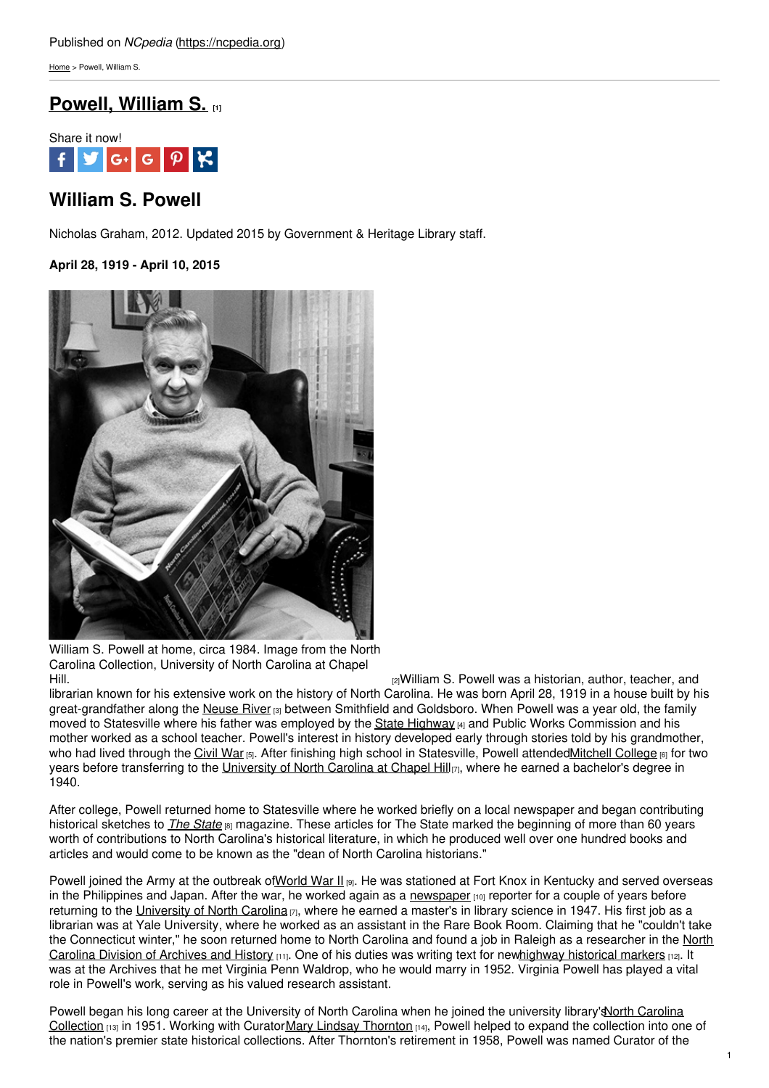[Home](https://ncpedia.org/) > Powell, William S.

# **Powell, [William](https://ncpedia.org/biography/powell-william) S. [1]**



## **William S. Powell**

Nicholas Graham, 2012. Updated 2015 by Government & Heritage Library staff.

**April 28, 1919 - April 10, 2015**



William S. Powell at home, circa 1984. Image from the North Carolina Collection, University of North Carolina at Chapel [Hill.](https://dc.lib.unc.edu/cdm/ref/collection/dig_nccpa/id/3654) **Example 20** Hill. **Example 20** Hill. **Example 20 Hills and 20 Hills and 20 Hills and 20 Hills and 20 Hills and 20 Hills and 20 Hills and 20 Hills and 20 Hills and 20 Hills and 20 Hills and 20 Hills and 20 Hills and** 

librarian known for his extensive work on the history of North Carolina. He was born April 28, 1919 in a house built by his great-grandfather along the [Neuse](https://ncpedia.org/rivers/neuse) River [3] between Smithfield and Goldsboro. When Powell was a year old, the family moved to Statesville where his father was employed by the State [Highway](https://ncpedia.org/highway-commission) [4] and Public Works Commission and his mother worked as a school teacher. Powell's interest in history developed early through stories told by his grandmother, who had lived through the [Civil](https://ncpedia.org/history/cw-1900/civil-war) War [5]. After finishing high school in Statesville, Powell attende[dMitchell](https://mitchellcc.edu/) College [6] for two years before transferring to the [University](https://ncpedia.org/university-north-carolina-chapel-hi) of North Carolina at Chapel Hill<sub>[7]</sub>, where he earned a bachelor's degree in 1940.

After college, Powell returned home to Statesville where he worked briefly on a local newspaper and began contributing historical sketches to *The [State](https://ncpedia.org/our-state)* [8] magazine. These articles for The State marked the beginning of more than 60 years worth of contributions to North Carolina's historical literature, in which he produced well over one hundred books and articles and would come to be known as the "dean of North Carolina historians."

Powell joined the Army at the outbreak o[fWorld](https://ncpedia.org/world-war-ii) War II [9]. He was stationed at Fort Knox in Kentucky and served overseas in the Philippines and Japan. After the war, he worked again as a [newspaper](https://ncpedia.org/newspapers)  $[10]$  reporter for a couple of years before returning to the [University](https://ncpedia.org/university-north-carolina-chapel-hi) of North Carolina  $\eta$ , where he earned a master's in library science in 1947. His first job as a librarian was at Yale University, where he worked as an assistant in the Rare Book Room. Claiming that he "couldn't take the [Connecticut](https://ncpedia.org/archives-and-history-office) winter," he soon returned home to North Carolina and found a job in Raleigh as a researcher in the North Carolina Division of Archives and History (11). One of his duties was writing text for newhighway [historical](https://ncpedia.org/historical-markers) markers [12]. It was at the Archives that he met Virginia Penn Waldrop, who he would marry in 1952. Virginia Powell has played a vital role in Powell's work, serving as his valued research assistant.

Powell began his long career at the University of North Carolina when he joined the university library's North Carolina Collection [13] in 1951. Working with [CuratorMary](https://ncpedia.org/historical-collections) Lindsay [Thornton](https://ncpedia.org/biography/thornton-mary) [14], Powell helped to expand the collection into one of the nation's premier state historical collections. After Thornton's retirement in 1958, Powell was named Curator of the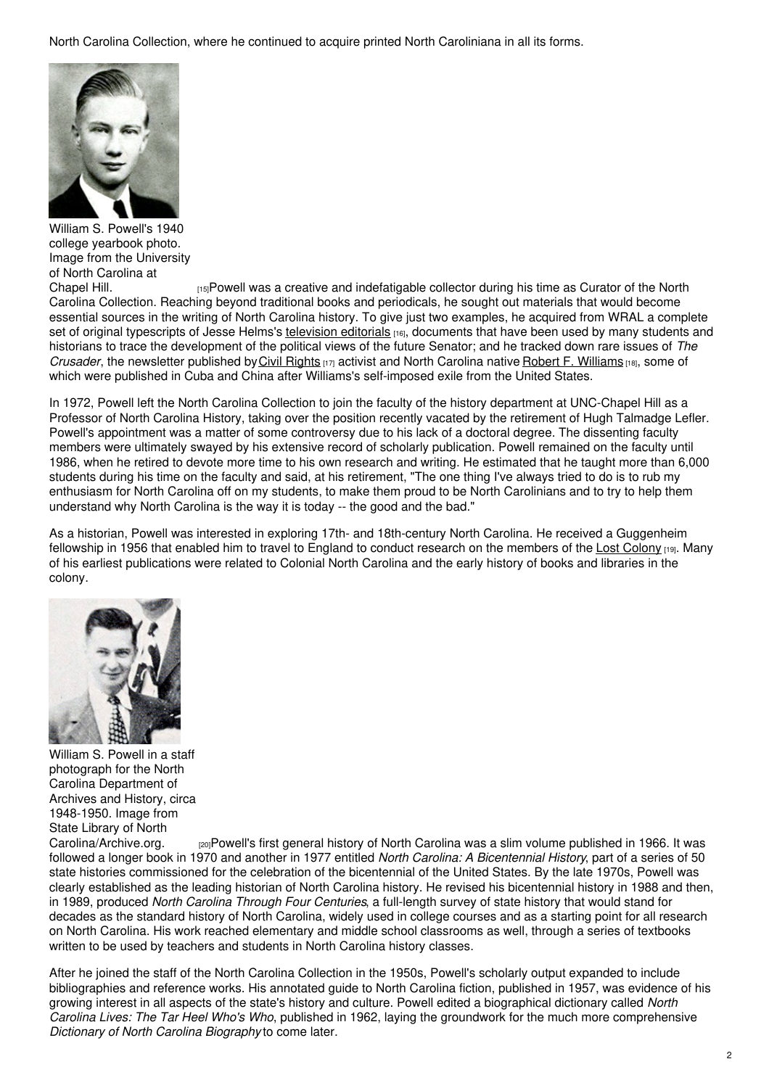North Carolina Collection, where he continued to acquire printed North Caroliniana in all its forms.



William S. Powell's 1940 college yearbook photo. Image from the University of North Carolina at

[Chapel](https://lib.digitalnc.org/record/27488?ln=en#?c=0&m=0&s=0&cv=83&r=0&xywh=-484%2C-180%2C5909%2C3591) Hill. [15]Powell was a creative and indefatigable collector during his time as Curator of the North Carolina Collection. Reaching beyond traditional books and periodicals, he sought out materials that would become essential sources in the writing of North Carolina history. To give just two examples, he acquired from WRAL a complete set of original typescripts of Jesse Helms's [television](https://ncpedia.org/viewpoint) editorials [16], documents that have been used by many students and historians to trace the development of the political views of the future Senator; and he tracked down rare issues of *The Crusader*, the newsletter published by Civil [Rights](https://ncpedia.org/history/20th-Century/african-american-civil-rights) [17] activist and North Carolina native Robert F. [Williams](https://ncpedia.org/radio-free-dixie) [18], some of which were published in Cuba and China after Williams's self-imposed exile from the United States.

In 1972, Powell left the North Carolina Collection to join the faculty of the history department at UNC-Chapel Hill as a Professor of North Carolina History, taking over the position recently vacated by the retirement of Hugh Talmadge Lefler. Powell's appointment was a matter of some controversy due to his lack of a doctoral degree. The dissenting faculty members were ultimately swayed by his extensive record of scholarly publication. Powell remained on the faculty until 1986, when he retired to devote more time to his own research and writing. He estimated that he taught more than 6,000 students during his time on the faculty and said, at his retirement, "The one thing I've always tried to do is to rub my enthusiasm for North Carolina off on my students, to make them proud to be North Carolinians and to try to help them understand why North Carolina is the way it is today -- the good and the bad."

As a historian, Powell was interested in exploring 17th- and 18th-century North Carolina. He received a Guggenheim fellowship in 1956 that enabled him to travel to England to conduct research on the members of the Lost [Colony](https://ncpedia.org/lost-colony) [19]. Many of his earliest publications were related to Colonial North Carolina and the early history of books and libraries in the colony.



William S. Powell in a staff photograph for the North Carolina Department of Archives and History, circa 1948-1950. Image from State Library of North<br>Carolina/Archive.org.

 $_{[20]}$ Powell's first general history of North Carolina was a slim volume published in 1966. It was followed a longer book in 1970 and another in 1977 entitled *North Carolina: A Bicentennial History*, part of a series of 50 state histories commissioned for the celebration of the bicentennial of the United States. By the late 1970s, Powell was clearly established as the leading historian of North Carolina history. He revised his bicentennial history in 1988 and then, in 1989, produced *North Carolina Through Four Centuries*, a full-length survey of state history that would stand for decades as the standard history of North Carolina, widely used in college courses and as a starting point for all research on North Carolina. His work reached elementary and middle school classrooms as well, through a series of textbooks written to be used by teachers and students in North Carolina history classes.

After he joined the staff of the North Carolina Collection in the 1950s, Powell's scholarly output expanded to include bibliographies and reference works. His annotated guide to North Carolina fiction, published in 1957, was evidence of his growing interest in all aspects of the state's history and culture. Powell edited a biographical dictionary called *North Carolina Lives: The Tar Heel Who's Who*, published in 1962, laying the groundwork for the much more comprehensive *Dictionary of North Carolina Biography* to come later.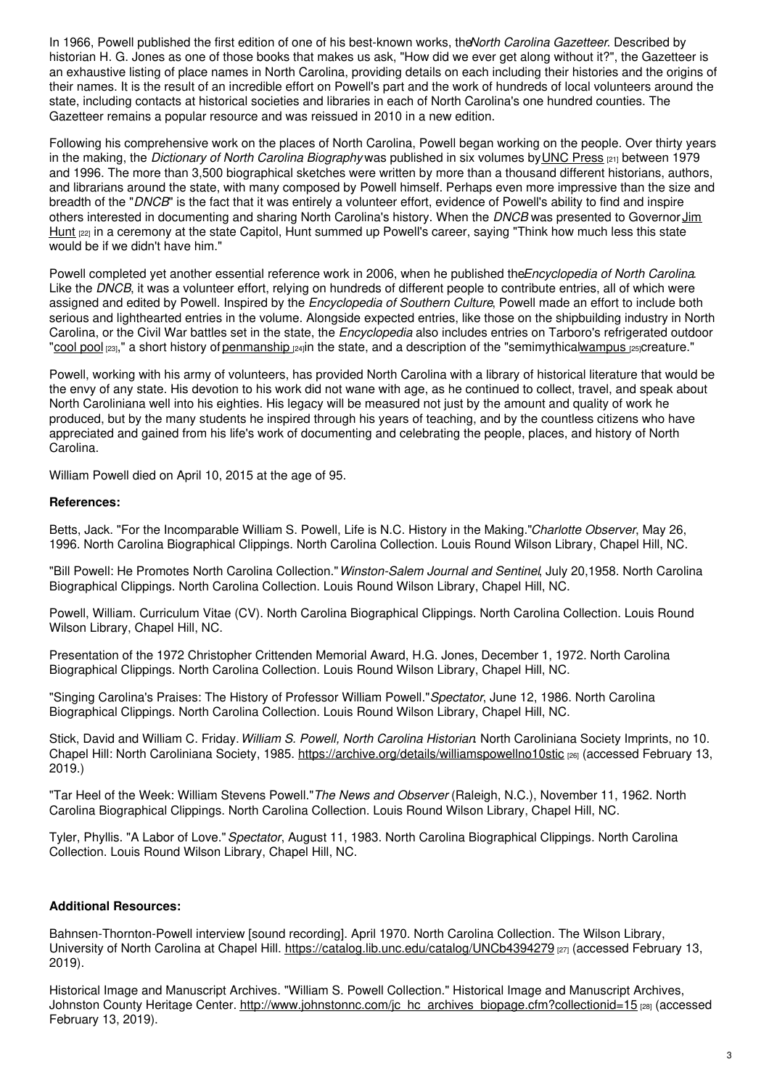In 1966, Powell published the first edition of one of his best-known works, the*North Carolina Gazetteer*. Described by historian H. G. Jones as one of those books that makes us ask, "How did we ever get along without it?", the Gazetteer is an exhaustive listing of place names in North Carolina, providing details on each including their histories and the origins of their names. It is the result of an incredible effort on Powell's part and the work of hundreds of local volunteers around the state, including contacts at historical societies and libraries in each of North Carolina's one hundred counties. The Gazetteer remains a popular resource and was reissued in 2010 in a new edition.

Following his comprehensive work on the places of North Carolina, Powell began working on the people. Over thirty years in the making, the *Dictionary of North Carolina Biography* was published in six volumes byUNC [Press](https://ncpedia.org/university-north-carolina-press) [21] between 1979 and 1996. The more than 3,500 biographical sketches were written by more than a thousand different historians, authors, and librarians around the state, with many composed by Powell himself. Perhaps even more impressive than the size and breadth of the "*DNCB*" is the fact that it was entirely a volunteer effort, evidence of Powell's ability to find and inspire others interested in [documenting](https://ncpedia.org/hunt-jr-james-baxter-research) and sharing North Carolina's history. When the *DNCB* was presented to Governor Jim Hunt [22] in a ceremony at the state Capitol, Hunt summed up Powell's career, saying "Think how much less this state would be if we didn't have him."

Powell completed yet another essential reference work in 2006, when he published the*Encyclopedia of North Carolina*. Like the *DNCB*, it was a volunteer effort, relying on hundreds of different people to contribute entries, all of which were assigned and edited by Powell. Inspired by the *Encyclopedia of Southern Culture*, Powell made an effort to include both serious and lighthearted entries in the volume. Alongside expected entries, like those on the shipbuilding industry in North Carolina, or the Civil War battles set in the state, the *Encyclopedia* also includes entries on Tarboro's refrigerated outdoor ["cool](https://ncpedia.org/cool-pool) pool [23]," a short history of [penmanship](https://ncpedia.org/penmanship) [24]in the state, and a description of the "semimythica[lwampus](https://ncpedia.org/wampus) [25]creature."

Powell, working with his army of volunteers, has provided North Carolina with a library of historical literature that would be the envy of any state. His devotion to his work did not wane with age, as he continued to collect, travel, and speak about North Caroliniana well into his eighties. His legacy will be measured not just by the amount and quality of work he produced, but by the many students he inspired through his years of teaching, and by the countless citizens who have appreciated and gained from his life's work of documenting and celebrating the people, places, and history of North Carolina.

William Powell died on April 10, 2015 at the age of 95.

#### **References:**

Betts, Jack. "For the Incomparable William S. Powell, Life is N.C. History in the Making."*Charlotte Observer*, May 26, 1996. North Carolina Biographical Clippings. North Carolina Collection. Louis Round Wilson Library, Chapel Hill, NC.

"Bill Powell: He Promotes North Carolina Collection."*Winston-Salem Journal and Sentinel*, July 20,1958. North Carolina Biographical Clippings. North Carolina Collection. Louis Round Wilson Library, Chapel Hill, NC.

Powell, William. Curriculum Vitae (CV). North Carolina Biographical Clippings. North Carolina Collection. Louis Round Wilson Library, Chapel Hill, NC.

Presentation of the 1972 Christopher Crittenden Memorial Award, H.G. Jones, December 1, 1972. North Carolina Biographical Clippings. North Carolina Collection. Louis Round Wilson Library, Chapel Hill, NC.

"Singing Carolina's Praises: The History of Professor William Powell."*Spectator*, June 12, 1986. North Carolina Biographical Clippings. North Carolina Collection. Louis Round Wilson Library, Chapel Hill, NC.

Stick, David and William C. Friday.*William S. Powell, North Carolina Historian*. North Caroliniana Society Imprints, no 10. Chapel Hill: North Caroliniana Society, 1985. <https://archive.org/details/williamspowellno10stic> [26] (accessed February 13, 2019.)

"Tar Heel of the Week: William Stevens Powell."*The News and Observer* (Raleigh, N.C.), November 11, 1962. North Carolina Biographical Clippings. North Carolina Collection. Louis Round Wilson Library, Chapel Hill, NC.

Tyler, Phyllis. "A Labor of Love."*Spectator*, August 11, 1983. North Carolina Biographical Clippings. North Carolina Collection. Louis Round Wilson Library, Chapel Hill, NC.

### **Additional Resources:**

Bahnsen-Thornton-Powell interview [sound recording]. April 1970. North Carolina Collection. The Wilson Library, University of North Carolina at Chapel Hill. <https://catalog.lib.unc.edu/catalog/UNCb4394279> [27] (accessed February 13, 2019).

Historical Image and Manuscript Archives. "William S. Powell Collection." Historical Image and Manuscript Archives, Johnston County Heritage Center. [http://www.johnstonnc.com/jc\\_hc\\_archives\\_biopage.cfm?collectionid=15](http://www.johnstonnc.com/jc_hc_archives_biopage.cfm?collectionid=15) [28] (accessed February 13, 2019).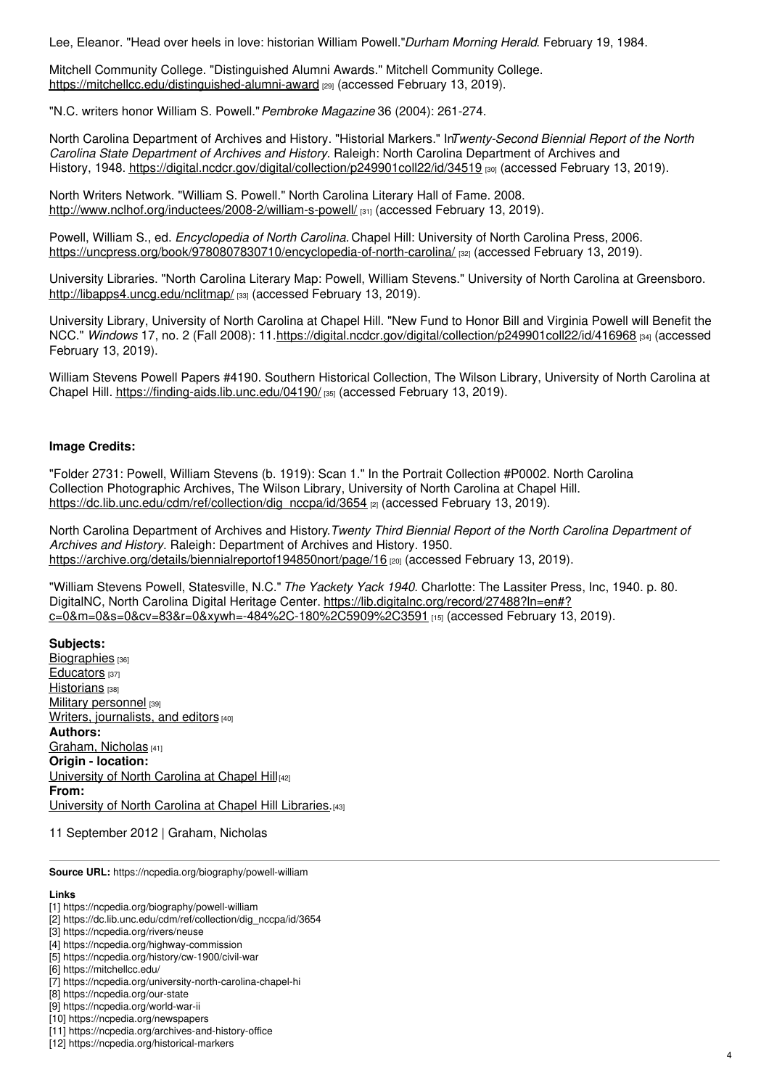Lee, Eleanor. "Head over heels in love: historian William Powell."*Durham Morning Herald*. February 19, 1984.

Mitchell Community College. "Distinguished Alumni Awards." Mitchell Community College. <https://mitchellcc.edu/distinguished-alumni-award> [29] (accessed February 13, 2019).

"N.C. writers honor William S. Powell."*Pembroke Magazine* 36 (2004): 261-274.

North Carolina Department of Archives and History. "Historial Markers." In*Twenty-Second Biennial Report of the North Carolina State Department of Archives and History*. Raleigh: North Carolina Department of Archives and History, 1948. <https://digital.ncdcr.gov/digital/collection/p249901coll22/id/34519> [30] (accessed February 13, 2019).

North Writers Network. "William S. Powell." North Carolina Literary Hall of Fame. 2008. <http://www.nclhof.org/inductees/2008-2/william-s-powell/> [31] (accessed February 13, 2019).

Powell, William S., ed. *Encyclopedia of North Carolina.* Chapel Hill: University of North Carolina Press, 2006. <https://uncpress.org/book/9780807830710/encyclopedia-of-north-carolina/> [32] (accessed February 13, 2019).

University Libraries. "North Carolina Literary Map: Powell, William Stevens." University of North Carolina at Greensboro. <http://libapps4.uncg.edu/nclitmap/> [33] (accessed February 13, 2019).

University Library, University of North Carolina at Chapel Hill. "New Fund to Honor Bill and Virginia Powell will Benefit the NCC." *Windows* 17, no. 2 (Fall 2008): 11.<https://digital.ncdcr.gov/digital/collection/p249901coll22/id/416968> [34] (accessed February 13, 2019).

William Stevens Powell Papers #4190. Southern Historical Collection, The Wilson Library, University of North Carolina at Chapel Hill. <https://finding-aids.lib.unc.edu/04190/> [35] (accessed February 13, 2019).

### **Image Credits:**

"Folder 2731: Powell, William Stevens (b. 1919): Scan 1." In the Portrait Collection #P0002. North Carolina Collection Photographic Archives, The Wilson Library, University of North Carolina at Chapel Hill. [https://dc.lib.unc.edu/cdm/ref/collection/dig\\_nccpa/id/3654](https://dc.lib.unc.edu/cdm/ref/collection/dig_nccpa/id/3654) [2] (accessed February 13, 2019).

North Carolina Department of Archives and History*.Twenty Third Biennial Report of the North Carolina Department of Archives and History*. Raleigh: Department of Archives and History. 1950. [https://archive.org/details/biennialreportof194850nort/page/16](https://archive.org/details/biennialreportof194850nort/page/16/mode/2up?view=theater) [20] (accessed February 13, 2019).

"William Stevens Powell, Statesville, N.C." *The Yackety Yack 1940*. Charlotte: The Lassiter Press, Inc, 1940. p. 80. DigitalNC, North Carolina Digital Heritage Center. https://lib.digitalnc.org/record/27488?ln=en#? [c=0&m=0&s=0&cv=83&r=0&xywh=-484%2C-180%2C5909%2C3591](https://lib.digitalnc.org/record/27488?ln=en#?c=0&m=0&s=0&cv=83&r=0&xywh=-484%2C-180%2C5909%2C3591) [15] (accessed February 13, 2019).

**Subjects:** [Biographies](https://ncpedia.org/category/subjects/biography-term) [36] [Educators](https://ncpedia.org/category/subjects/educators) [37] [Historians](https://ncpedia.org/category/subjects/historians) [38] Military [personnel](https://ncpedia.org/category/subjects/soldiers) [39] Writers, [journalists,](https://ncpedia.org/category/subjects/writer) and editors [40] **Authors:** [Graham,](https://ncpedia.org/category/authors/graham-nicholas) Nicholas [41] **Origin - location:** [University](https://ncpedia.org/category/origin-location/piedmon-33) of North Carolina at Chapel Hill[42] **From:** [University](https://ncpedia.org/category/entry-source/university-no) of North Carolina at Chapel Hill Libraries.<sup>[43]</sup>

11 September 2012 | Graham, Nicholas

**Source URL:** https://ncpedia.org/biography/powell-william

#### **Links**

[2] https://dc.lib.unc.edu/cdm/ref/collection/dig\_nccpa/id/3654

- [5] https://ncpedia.org/history/cw-1900/civil-war
- [6] https://mitchellcc.edu/
- [7] https://ncpedia.org/university-north-carolina-chapel-hi

[10] https://ncpedia.org/newspapers

<sup>[1]</sup> https://ncpedia.org/biography/powell-william

<sup>[3]</sup> https://ncpedia.org/rivers/neuse

<sup>[4]</sup> https://ncpedia.org/highway-commission

<sup>[8]</sup> https://ncpedia.org/our-state

<sup>[9]</sup> https://ncpedia.org/world-war-ii

<sup>[11]</sup> https://ncpedia.org/archives-and-history-office

<sup>[12]</sup> https://ncpedia.org/historical-markers